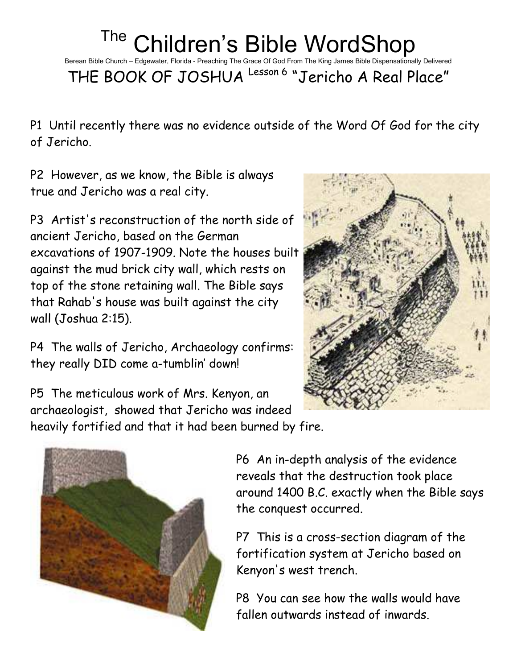## The Children's Bible WordShop

Berean Bible Church – Edgewater, Florida - Preaching The Grace Of God From The King James Bible Dispensationally Delivered

THE BOOK OF JOSHUA Lesson 6 "Jericho A Real Place"

P1 Until recently there was no evidence outside of the Word Of God for the city of Jericho.

P2 However, as we know, the Bible is always true and Jericho was a real city.

P3 Artist's reconstruction of the north side of ancient Jericho, based on the German excavations of 1907-1909. Note the houses built against the mud brick city wall, which rests on top of the stone retaining wall. The Bible says that Rahab's house was built against the city wall (Joshua 2:15).

P4 The walls of Jericho, Archaeology confirms: they really DID come a-tumblin' down!



P5 The meticulous work of Mrs. Kenyon, an archaeologist, showed that Jericho was indeed heavily fortified and that it had been burned by fire.



P6 An in-depth analysis of the evidence reveals that the destruction took place around 1400 B.C. exactly when the Bible says the conquest occurred.

P7 This is a cross-section diagram of the fortification system at Jericho based on Kenyon's west trench.

P8 You can see how the walls would have fallen outwards instead of inwards.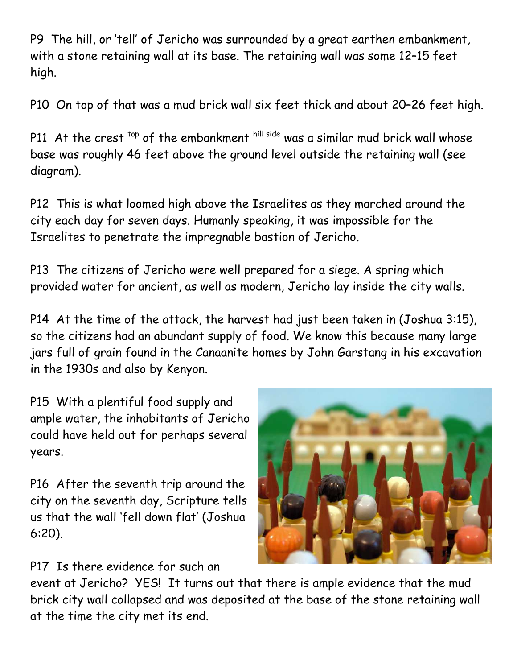P9 The hill, or 'tell' of Jericho was surrounded by a great earthen embankment, with a stone retaining wall at its base. The retaining wall was some 12–15 feet high.

P10 On top of that was a mud brick wall six feet thick and about 20–26 feet high.

P11 At the crest <sup>top</sup> of the embankment hill side was a similar mud brick wall whose base was roughly 46 feet above the ground level outside the retaining wall (see diagram).

P12 This is what loomed high above the Israelites as they marched around the city each day for seven days. Humanly speaking, it was impossible for the Israelites to penetrate the impregnable bastion of Jericho.

P13 The citizens of Jericho were well prepared for a siege. A spring which provided water for ancient, as well as modern, Jericho lay inside the city walls.

P14 At the time of the attack, the harvest had just been taken in (Joshua 3:15), so the citizens had an abundant supply of food. We know this because many large jars full of grain found in the Canaanite homes by John Garstang in his excavation in the 1930s and also by Kenyon.

P15 With a plentiful food supply and ample water, the inhabitants of Jericho could have held out for perhaps several years.

P16 After the seventh trip around the city on the seventh day, Scripture tells us that the wall 'fell down flat' (Joshua 6:20).



P17 Is there evidence for such an

event at Jericho? YES! It turns out that there is ample evidence that the mud brick city wall collapsed and was deposited at the base of the stone retaining wall at the time the city met its end.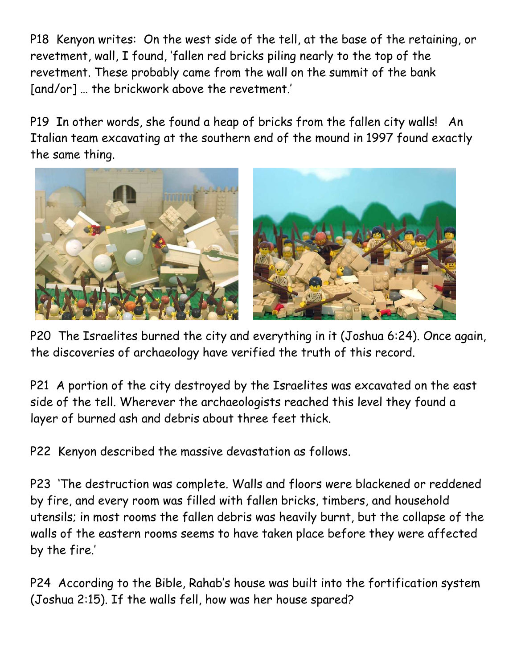P18 Kenyon writes: On the west side of the tell, at the base of the retaining, or revetment, wall, I found, 'fallen red bricks piling nearly to the top of the revetment. These probably came from the wall on the summit of the bank [and/or] … the brickwork above the revetment.'

P19 In other words, she found a heap of bricks from the fallen city walls! An Italian team excavating at the southern end of the mound in 1997 found exactly the same thing.



P20 The Israelites burned the city and everything in it (Joshua 6:24). Once again, the discoveries of archaeology have verified the truth of this record.

P21 A portion of the city destroyed by the Israelites was excavated on the east side of the tell. Wherever the archaeologists reached this level they found a layer of burned ash and debris about three feet thick.

P22 Kenyon described the massive devastation as follows.

P23 'The destruction was complete. Walls and floors were blackened or reddened by fire, and every room was filled with fallen bricks, timbers, and household utensils; in most rooms the fallen debris was heavily burnt, but the collapse of the walls of the eastern rooms seems to have taken place before they were affected by the fire.'

P24 According to the Bible, Rahab's house was built into the fortification system (Joshua 2:15). If the walls fell, how was her house spared?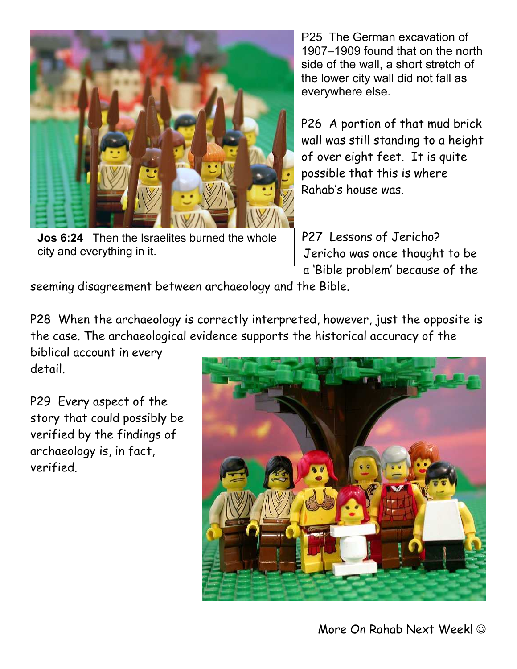

Jos 6:24 Then the Israelites burned the whole city and everything in it.

P25 The German excavation of 1907–1909 found that on the north side of the wall, a short stretch of the lower city wall did not fall as everywhere else.

P26 A portion of that mud brick wall was still standing to a height of over eight feet. It is quite possible that this is where Rahab's house was.

P27 Lessons of Jericho? Jericho was once thought to be a 'Bible problem' because of the

seeming disagreement between archaeology and the Bible.

P28 When the archaeology is correctly interpreted, however, just the opposite is the case. The archaeological evidence supports the historical accuracy of the

biblical account in every detail.

P29 Every aspect of the story that could possibly be verified by the findings of archaeology is, in fact, verified.

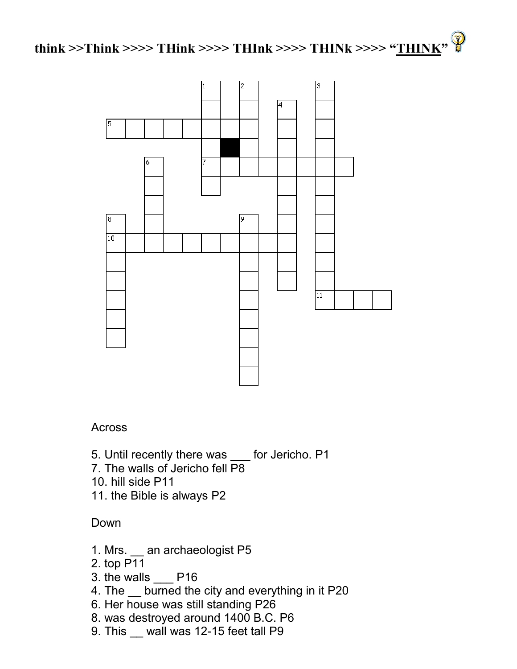



## **Across**

- 5. Until recently there was \_\_\_ for Jericho. P1
- 7. The walls of Jericho fell P8
- 10. hill side P11
- 11. the Bible is always P2

## Down

- 1. Mrs. \_\_ an archaeologist P5
- 2. top P11
- 3. the walls P16
- 4. The \_\_ burned the city and everything in it P20
- 6. Her house was still standing P26
- 8. was destroyed around 1400 B.C. P6
- 9. This wall was 12-15 feet tall P9